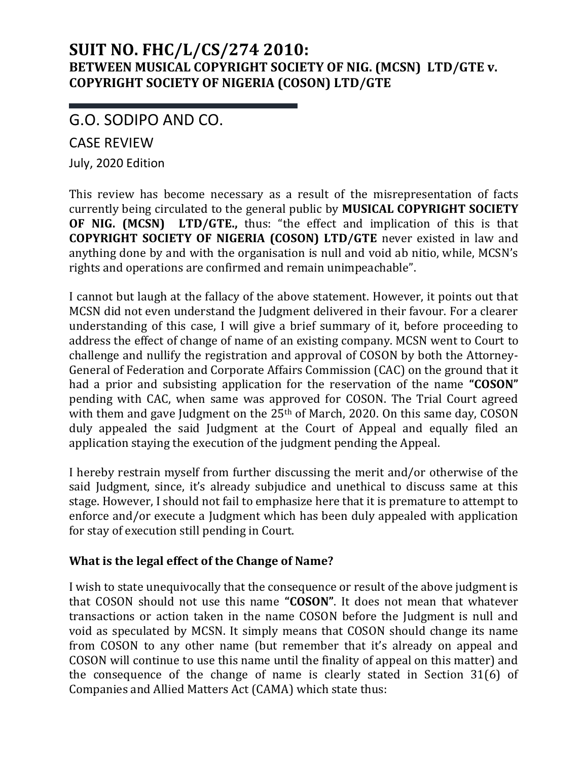## **SUIT NO. FHC/L/CS/274 2010: BETWEEN MUSICAL COPYRIGHT SOCIETY OF NIG. (MCSN) LTD/GTE v. COPYRIGHT SOCIETY OF NIGERIA (COSON) LTD/GTE**

G.O. SODIPO AND CO.

CASE REVIEW

July, 2020 Edition

This review has become necessary as a result of the misrepresentation of facts currently being circulated to the general public by **MUSICAL COPYRIGHT SOCIETY OF NIG. (MCSN) LTD/GTE.,** thus: "the effect and implication of this is that **COPYRIGHT SOCIETY OF NIGERIA (COSON) LTD/GTE** never existed in law and anything done by and with the organisation is null and void ab nitio, while, MCSN's rights and operations are confirmed and remain unimpeachable".

I cannot but laugh at the fallacy of the above statement. However, it points out that MCSN did not even understand the Judgment delivered in their favour. For a clearer understanding of this case, I will give a brief summary of it, before proceeding to address the effect of change of name of an existing company. MCSN went to Court to challenge and nullify the registration and approval of COSON by both the Attorney-General of Federation and Corporate Affairs Commission (CAC) on the ground that it had a prior and subsisting application for the reservation of the name **"COSON"**  pending with CAC, when same was approved for COSON. The Trial Court agreed with them and gave Judgment on the  $25<sup>th</sup>$  of March, 2020. On this same day, COSON duly appealed the said Judgment at the Court of Appeal and equally filed an application staying the execution of the judgment pending the Appeal.

I hereby restrain myself from further discussing the merit and/or otherwise of the said Judgment, since, it's already subjudice and unethical to discuss same at this stage. However, I should not fail to emphasize here that it is premature to attempt to enforce and/or execute a Judgment which has been duly appealed with application for stay of execution still pending in Court.

## **What is the legal effect of the Change of Name?**

I wish to state unequivocally that the consequence or result of the above judgment is that COSON should not use this name **"COSON"**. It does not mean that whatever transactions or action taken in the name COSON before the Judgment is null and void as speculated by MCSN. It simply means that COSON should change its name from COSON to any other name (but remember that it's already on appeal and COSON will continue to use this name until the finality of appeal on this matter) and the consequence of the change of name is clearly stated in Section 31(6) of Companies and Allied Matters Act (CAMA) which state thus: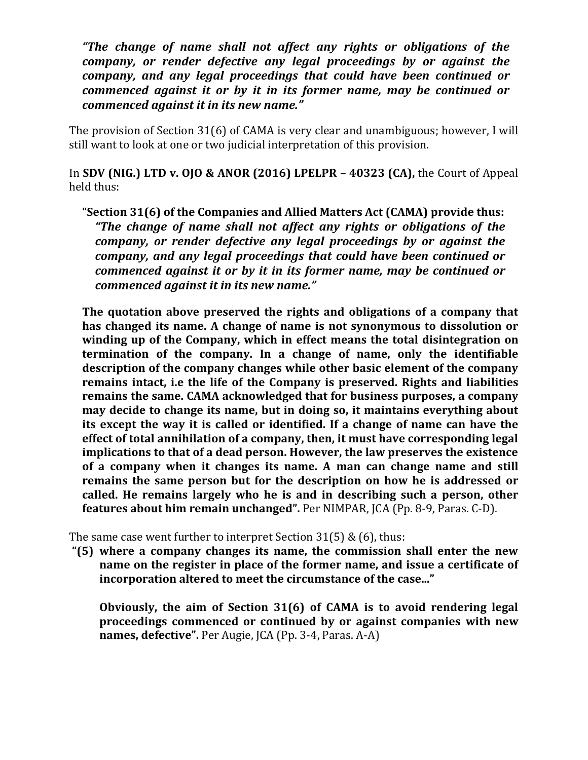*"The change of name shall not affect any rights or obligations of the company, or render defective any legal proceedings by or against the company, and any legal proceedings that could have been continued or commenced against it or by it in its former name, may be continued or commenced against it in its new name."*

The provision of Section 31(6) of CAMA is very clear and unambiguous; however, I will still want to look at one or two judicial interpretation of this provision.

In **SDV (NIG.) LTD v. OJO & ANOR (2016) LPELPR – 40323 (CA),** the Court of Appeal held thus:

**"Section 31(6) of the Companies and Allied Matters Act (CAMA) provide thus:** *"The change of name shall not affect any rights or obligations of the company, or render defective any legal proceedings by or against the company, and any legal proceedings that could have been continued or commenced against it or by it in its former name, may be continued or commenced against it in its new name."*

**The quotation above preserved the rights and obligations of a company that has changed its name. A change of name is not synonymous to dissolution or winding up of the Company, which in effect means the total disintegration on termination of the company. In a change of name, only the identifiable description of the company changes while other basic element of the company remains intact, i.e the life of the Company is preserved. Rights and liabilities remains the same. CAMA acknowledged that for business purposes, a company may decide to change its name, but in doing so, it maintains everything about its except the way it is called or identified. If a change of name can have the effect of total annihilation of a company, then, it must have corresponding legal implications to that of a dead person. However, the law preserves the existence of a company when it changes its name. A man can change name and still remains the same person but for the description on how he is addressed or called. He remains largely who he is and in describing such a person, other features about him remain unchanged".** Per NIMPAR, JCA (Pp. 8-9, Paras. C-D).

The same case went further to interpret Section  $31(5)$  & (6), thus:

**"(5) where a company changes its name, the commission shall enter the new name on the register in place of the former name, and issue a certificate of incorporation altered to meet the circumstance of the case..."**

**Obviously, the aim of Section 31(6) of CAMA is to avoid rendering legal proceedings commenced or continued by or against companies with new names, defective".** Per Augie, JCA (Pp. 3-4, Paras. A-A)